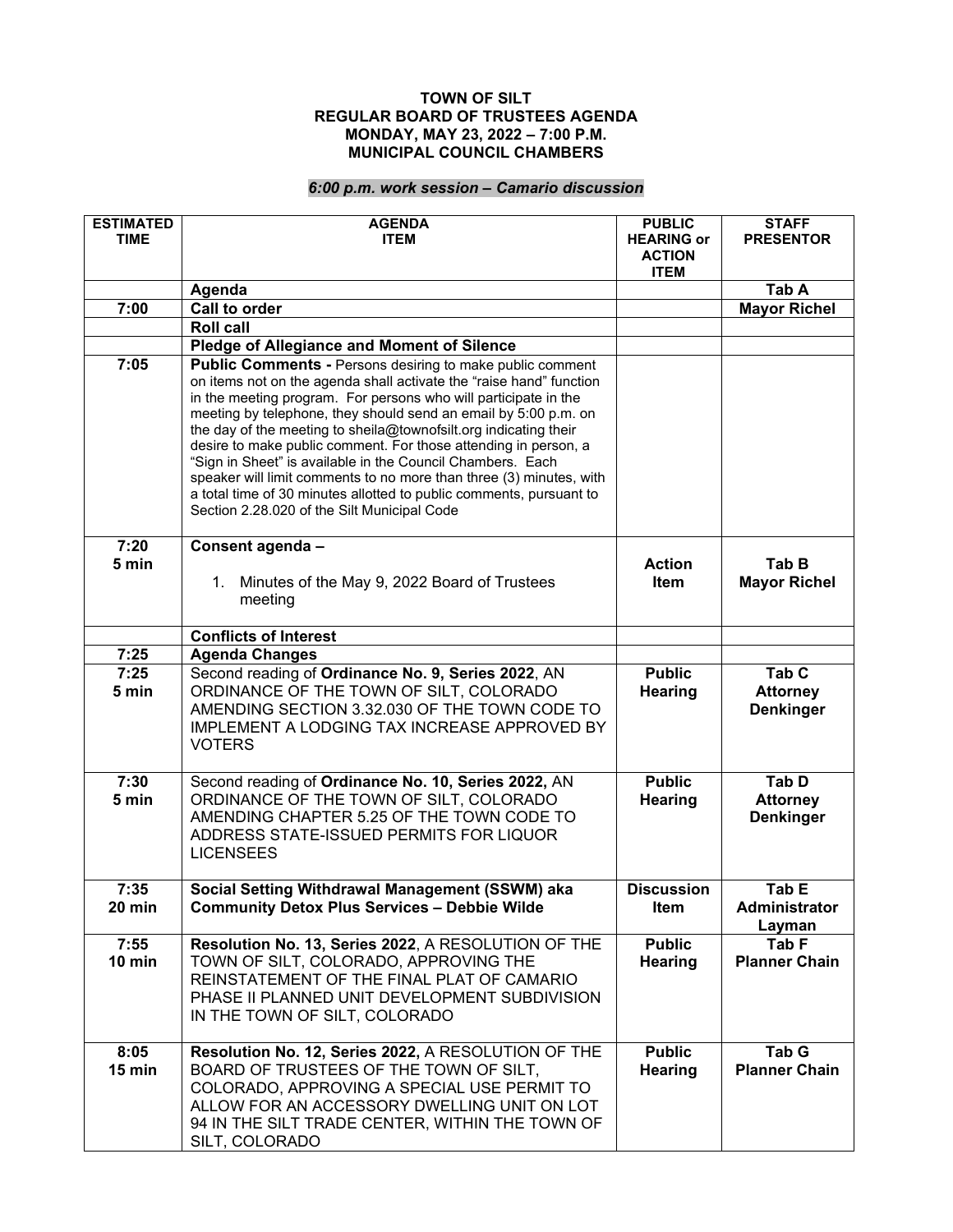## **TOWN OF SILT REGULAR BOARD OF TRUSTEES AGENDA MONDAY, MAY 23, 2022 – 7:00 P.M. MUNICIPAL COUNCIL CHAMBERS**

## *6:00 p.m. work session – Camario discussion*

| <b>ESTIMATED</b><br><b>TIME</b> | <b>AGENDA</b><br><b>ITEM</b>                                                                                                                                                                                                                                                                                                                                                                                                                                                                                                                                                                                                                                                    | <b>PUBLIC</b><br><b>HEARING or</b><br><b>ACTION</b><br><b>ITEM</b> | <b>STAFF</b><br><b>PRESENTOR</b>             |
|---------------------------------|---------------------------------------------------------------------------------------------------------------------------------------------------------------------------------------------------------------------------------------------------------------------------------------------------------------------------------------------------------------------------------------------------------------------------------------------------------------------------------------------------------------------------------------------------------------------------------------------------------------------------------------------------------------------------------|--------------------------------------------------------------------|----------------------------------------------|
|                                 | Agenda                                                                                                                                                                                                                                                                                                                                                                                                                                                                                                                                                                                                                                                                          |                                                                    | Tab A                                        |
| 7:00                            | <b>Call to order</b>                                                                                                                                                                                                                                                                                                                                                                                                                                                                                                                                                                                                                                                            |                                                                    | <b>Mayor Richel</b>                          |
|                                 | <b>Roll call</b>                                                                                                                                                                                                                                                                                                                                                                                                                                                                                                                                                                                                                                                                |                                                                    |                                              |
|                                 | Pledge of Allegiance and Moment of Silence                                                                                                                                                                                                                                                                                                                                                                                                                                                                                                                                                                                                                                      |                                                                    |                                              |
| 7:05                            | <b>Public Comments - Persons desiring to make public comment</b><br>on items not on the agenda shall activate the "raise hand" function<br>in the meeting program. For persons who will participate in the<br>meeting by telephone, they should send an email by 5:00 p.m. on<br>the day of the meeting to sheila@townofsilt.org indicating their<br>desire to make public comment. For those attending in person, a<br>"Sign in Sheet" is available in the Council Chambers. Each<br>speaker will limit comments to no more than three (3) minutes, with<br>a total time of 30 minutes allotted to public comments, pursuant to<br>Section 2.28.020 of the Silt Municipal Code |                                                                    |                                              |
| 7:20<br>5 min                   | Consent agenda -<br>1. Minutes of the May 9, 2022 Board of Trustees<br>meeting                                                                                                                                                                                                                                                                                                                                                                                                                                                                                                                                                                                                  | <b>Action</b><br><b>Item</b>                                       | Tab B<br><b>Mayor Richel</b>                 |
|                                 | <b>Conflicts of Interest</b>                                                                                                                                                                                                                                                                                                                                                                                                                                                                                                                                                                                                                                                    |                                                                    |                                              |
| 7:25                            | <b>Agenda Changes</b>                                                                                                                                                                                                                                                                                                                                                                                                                                                                                                                                                                                                                                                           |                                                                    |                                              |
| 7:25<br>5 min                   | Second reading of Ordinance No. 9, Series 2022, AN<br>ORDINANCE OF THE TOWN OF SILT, COLORADO<br>AMENDING SECTION 3.32.030 OF THE TOWN CODE TO<br>IMPLEMENT A LODGING TAX INCREASE APPROVED BY<br><b>VOTERS</b>                                                                                                                                                                                                                                                                                                                                                                                                                                                                 | <b>Public</b><br>Hearing                                           | Tab C<br><b>Attorney</b><br><b>Denkinger</b> |
| 7:30<br>5 min                   | Second reading of Ordinance No. 10, Series 2022, AN<br>ORDINANCE OF THE TOWN OF SILT, COLORADO<br>AMENDING CHAPTER 5.25 OF THE TOWN CODE TO<br>ADDRESS STATE-ISSUED PERMITS FOR LIQUOR<br><b>LICENSEES</b>                                                                                                                                                                                                                                                                                                                                                                                                                                                                      | <b>Public</b><br>Hearing                                           | Tab D<br><b>Attorney</b><br><b>Denkinger</b> |
| 7:35<br>20 min                  | Social Setting Withdrawal Management (SSWM) aka<br><b>Community Detox Plus Services - Debbie Wilde</b>                                                                                                                                                                                                                                                                                                                                                                                                                                                                                                                                                                          | <b>Discussion</b><br>Item                                          | Tab E<br>Administrator<br>Layman             |
| 7:55<br>$10$ min                | Resolution No. 13, Series 2022, A RESOLUTION OF THE<br>TOWN OF SILT, COLORADO, APPROVING THE<br>REINSTATEMENT OF THE FINAL PLAT OF CAMARIO<br>PHASE II PLANNED UNIT DEVELOPMENT SUBDIVISION<br>IN THE TOWN OF SILT, COLORADO                                                                                                                                                                                                                                                                                                                                                                                                                                                    | <b>Public</b><br>Hearing                                           | Tab F<br><b>Planner Chain</b>                |
| 8:05<br>15 min                  | Resolution No. 12, Series 2022, A RESOLUTION OF THE<br>BOARD OF TRUSTEES OF THE TOWN OF SILT,<br>COLORADO, APPROVING A SPECIAL USE PERMIT TO<br>ALLOW FOR AN ACCESSORY DWELLING UNIT ON LOT<br>94 IN THE SILT TRADE CENTER, WITHIN THE TOWN OF<br>SILT, COLORADO                                                                                                                                                                                                                                                                                                                                                                                                                | <b>Public</b><br><b>Hearing</b>                                    | Tab G<br><b>Planner Chain</b>                |